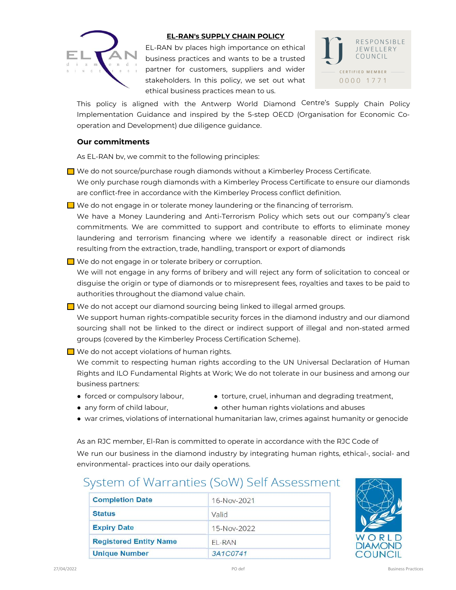

#### EL-RAN's SUPPLY CHAIN POLICY

EL-RAN bv places high importance on ethical business practices and wants to be a trusted partner for customers, suppliers and wider stakeholders. In this policy, we set out what ethical business practices mean to us.



This policy is aligned with the Antwerp World Diamond Centre's Supply Chain Policy Implementation Guidance and inspired by the 5-step OECD (Organisation for Economic Cooperation and Development) due diligence guidance.

#### Our commitments

As EL-RAN bv, we commit to the following principles:

- We do not source/purchase rough diamonds without a Kimberley Process Certificate. We only purchase rough diamonds with a Kimberley Process Certificate to ensure our diamonds are conflict-free in accordance with the Kimberley Process conflict definition.
- $\Box$  We do not engage in or tolerate money laundering or the financing of terrorism.

We have a Money Laundering and Anti-Terrorism Policy which sets out our company's clear commitments. We are committed to support and contribute to efforts to eliminate money laundering and terrorism financing where we identify a reasonable direct or indirect risk resulting from the extraction, trade, handling, transport or export of diamonds

We do not engage in or tolerate bribery or corruption.

We will not engage in any forms of bribery and will reject any form of solicitation to conceal or disguise the origin or type of diamonds or to misrepresent fees, royalties and taxes to be paid to authorities throughout the diamond value chain.

 $\Box$  We do not accept our diamond sourcing being linked to illegal armed groups.

We support human rights-compatible security forces in the diamond industry and our diamond sourcing shall not be linked to the direct or indirect support of illegal and non-stated armed groups (covered by the Kimberley Process Certification Scheme).

 $\Box$  We do not accept violations of human rights.

We commit to respecting human rights according to the UN Universal Declaration of Human Rights and ILO Fundamental Rights at Work; We do not tolerate in our business and among our business partners:

- 
- forced or compulsory labour, • torture, cruel, inhuman and degrading treatment,
- 
- any form of child labour, **•** other human rights violations and abuses
- war crimes, violations of international humanitarian law, crimes against humanity or genocide

As an RJC member, El-Ran is committed to operate in accordance with the RJC Code of

We run our business in the diamond industry by integrating human rights, ethical-, social- and environmental- practices into our daily operations.

# System of Warranties (SoW) Self Assessment

| <b>Completion Date</b>        | 16-Nov-2021 |
|-------------------------------|-------------|
| <b>Status</b>                 | Valid       |
| <b>Expiry Date</b>            | 15-Nov-2022 |
| <b>Registered Entity Name</b> | EL-RAN      |
| <b>Unique Number</b>          | 3A1C0741    |

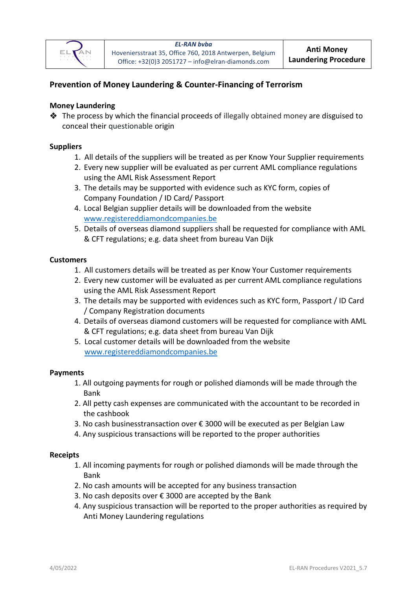

# **Prevention of Money Laundering & Counter[-Financing of Terrorism](https://en.wikipedia.org/wiki/Terrorism_financing)**

## **Money Laundering**

 $\triangleq$  The process by which the financial proceeds of illegally obtained money are disguised to conceal their questionable origin

## **Suppliers**

- 1. All details of the suppliers will be treated as per Know Your Supplier requirements
- 2. Every new supplier will be evaluated as per current AML compliance regulations using the AML Risk Assessment Report
- 3. The details may be supported with evidence such as KYC form, copies of Company Foundation / ID Card/ Passport
- 4. Local Belgian supplier details will be downloaded from the website [www.registereddiamondcompanies.be](file://///EEC/Belgium/Wendy/Office/Formulieren/www.registereddiamondcompanies.be)
- 5. Details of overseas diamond suppliers shall be requested for compliance with AML & CFT regulations; e.g. data sheet from bureau Van Dijk

## **Customers**

- 1. All customers details will be treated as per Know Your Customer requirements
- 2. Every new customer will be evaluated as per current AML compliance regulations using the AML Risk Assessment Report
- 3. The details may be supported with evidences such as KYC form, Passport / ID Card / Company Registration documents
- 4. Details of overseas diamond customers will be requested for compliance with AML & CFT regulations; e.g. data sheet from bureau Van Dijk
- 5. Local customer details will be downloaded from the website <www.registereddiamondcompanies.be>

## **Payments**

- 1. All outgoing payments for rough or polished diamonds will be made through the Bank
- 2. All petty cash expenses are communicated with the accountant to be recorded in the cashbook
- 3. No cash businesstransaction over € 3000 will be executed as per Belgian Law
- 4. Any suspicious transactions will be reported to the proper authorities

## **Receipts**

- 1. All incoming payments for rough or polished diamonds will be made through the Bank
- 2. No cash amounts will be accepted for any business transaction
- 3. No cash deposits over € 3000 are accepted by the Bank
- 4. Any suspicious transaction will be reported to the proper authorities as required by Anti Money Laundering regulations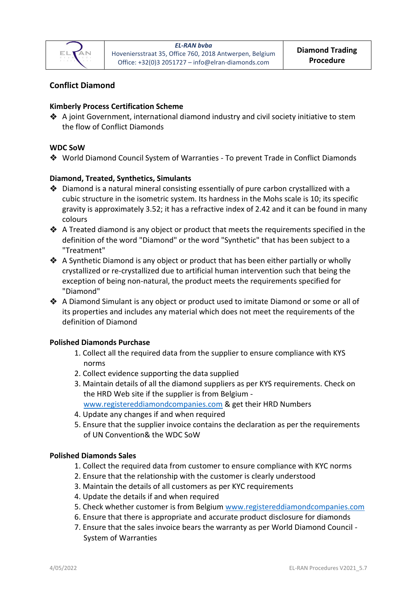

# **Conflict Diamond**

# **Kimberly Process Certification Scheme**

❖ A joint Government, international diamond industry and civil society initiative to stem the flow of Conflict Diamonds

## **WDC SoW**

❖ World Diamond Council System of Warranties - To prevent Trade in Conflict Diamonds

## **Diamond, Treated, Synthetics, Simulants**

- ❖ Diamond is a natural mineral consisting essentially of pure carbon crystallized with a cubic structure in the isometric system. Its hardness in the Mohs scale is 10; its specific gravity is approximately 3.52; it has a refractive index of 2.42 and it can be found in many colours
- ❖ A Treated diamond is any object or product that meets the requirements specified in the definition of the word "Diamond" or the word "Synthetic" that has been subject to a "Treatment"
- ❖ A Synthetic Diamond is any object or product that has been either partially or wholly crystallized or re-crystallized due to artificial human intervention such that being the exception of being non-natural, the product meets the requirements specified for "Diamond"
- ❖ A Diamond Simulant is any object or product used to imitate Diamond or some or all of its properties and includes any material which does not meet the requirements of the definition of Diamond

## **Polished Diamonds Purchase**

- 1. Collect all the required data from the supplier to ensure compliance with KYS norms
- 2. Collect evidence supporting the data supplied
- 3. Maintain details of all the diamond suppliers as per KYS requirements. Check on the HRD Web site if the supplier is from Belgium [www.registereddiamondcompanies.com](http://www.registereddiamondcompanies.com/) & get their HRD Numbers
- 
- 4. Update any changes if and when required
- 5. Ensure that the supplier invoice contains the declaration as per the requirements of UN Convention& the WDC SoW

## **Polished Diamonds Sales**

- 1. Collect the required data from customer to ensure compliance with KYC norms
- 2. Ensure that the relationship with the customer is clearly understood
- 3. Maintain the details of all customers as per KYC requirements
- 4. Update the details if and when required
- 5. Check whether customer is from Belgium [www.registereddiamondcompanies.com](http://www.registereddiamondcompanies.com/)
- 6. Ensure that there is appropriate and accurate product disclosure for diamonds
- 7. Ensure that the sales invoice bears the warranty as per World Diamond Council System of Warranties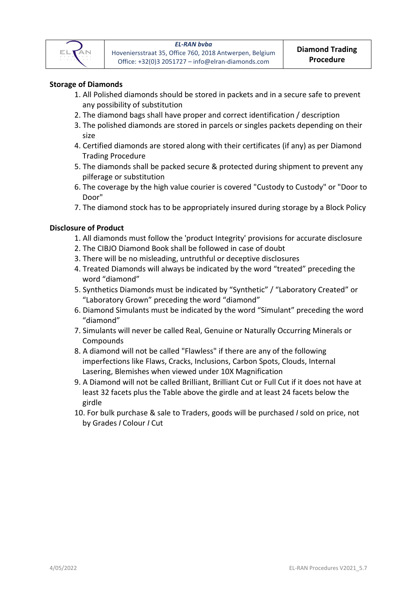

# **Storage of Diamonds**

- 1. All Polished diamonds should be stored in packets and in a secure safe to prevent any possibility of substitution
- 2. The diamond bags shall have proper and correct identification / description
- 3. The polished diamonds are stored in parcels or singles packets depending on their size
- 4. Certified diamonds are stored along with their certificates (if any) as per Diamond Trading Procedure
- 5. The diamonds shall be packed secure & protected during shipment to prevent any pilferage or substitution
- 6. The coverage by the high value courier is covered "Custody to Custody" or "Door to Door"
- 7. The diamond stock has to be appropriately insured during storage by a Block Policy

## **Disclosure of Product**

- 1. All diamonds must follow the 'product Integrity' provisions for accurate disclosure
- 2. The CIBJO Diamond Book shall be followed in case of doubt
- 3. There will be no misleading, untruthful or deceptive disclosures
- 4. Treated Diamonds will always be indicated by the word "treated" preceding the word "diamond"
- 5. Synthetics Diamonds must be indicated by "Synthetic" / "Laboratory Created" or "Laboratory Grown" preceding the word "diamond"
- 6. Diamond Simulants must be indicated by the word "Simulant" preceding the word "diamond"
- 7. Simulants will never be called Real, Genuine or Naturally Occurring Minerals or Compounds
- 8. A diamond will not be called "Flawless" if there are any of the following imperfections like Flaws, Cracks, Inclusions, Carbon Spots, Clouds, Internal Lasering, Blemishes when viewed under 10X Magnification
- 9. A Diamond will not be called Brilliant, Brilliant Cut or Full Cut if it does not have at least 32 facets plus the Table above the girdle and at least 24 facets below the girdle
- 10. For bulk purchase & sale to Traders, goods will be purchased *I* sold on price, not by Grades *I* Colour *I* Cut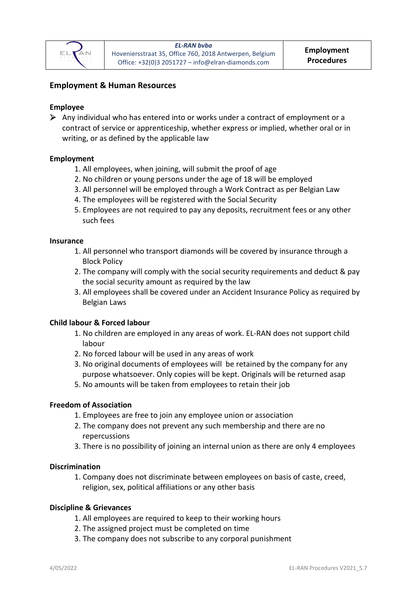

# **Employment & Human Resources**

## **Employee**

 $\triangleright$  Any individual who has entered into or works under a contract of employment or a contract of service or apprenticeship, whether express or implied, whether oral or in writing, or as defined by the applicable law

## **Employment**

- 1. All employees, when joining, will submit the proof of age
- 2. No children or young persons under the age of 18 will be employed
- 3. All personnel will be employed through a Work Contract as per Belgian Law
- 4. The employees will be registered with the Social Security
- 5. Employees are not required to pay any deposits, recruitment fees or any other such fees

#### **Insurance**

- 1. All personnel who transport diamonds will be covered by insurance through a Block Policy
- 2. The company will comply with the social security requirements and deduct & pay the social security amount as required by the law
- 3. All employees shall be covered under an Accident Insurance Policy as required by Belgian Laws

## **Child labour & Forced labour**

- 1. No children are employed in any areas of work. EL-RAN does not support child labour
- 2. No forced labour will be used in any areas of work
- 3. No original documents of employees will be retained by the company for any purpose whatsoever. Only copies will be kept. Originals will be returned asap
- 5. No amounts will be taken from employees to retain their job

## **Freedom of Association**

- 1. Employees are free to join any employee union or association
- 2. The company does not prevent any such membership and there are no repercussions
- 3. There is no possibility of joining an internal union as there are only 4 employees

## **Discrimination**

1. Company does not discriminate between employees on basis of caste, creed, religion, sex, political affiliations or any other basis

#### **Discipline & Grievances**

- 1. All employees are required to keep to their working hours
- 2. The assigned project must be completed on time
- 3. The company does not subscribe to any corporal punishment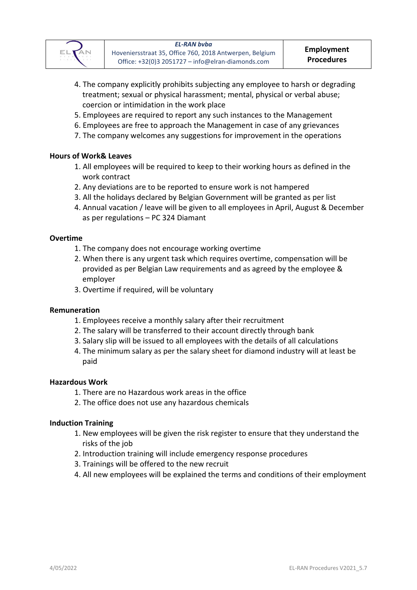

- 4. The company explicitly prohibits subjecting any employee to harsh or degrading treatment; sexual or physical harassment; mental, physical or verbal abuse; coercion or intimidation in the work place
- 5. Employees are required to report any such instances to the Management
- 6. Employees are free to approach the Management in case of any grievances
- 7. The company welcomes any suggestions for improvement in the operations

# **Hours of Work& Leaves**

- 1. All employees will be required to keep to their working hours as defined in the work contract
- 2. Any deviations are to be reported to ensure work is not hampered
- 3. All the holidays declared by Belgian Government will be granted as per list
- 4. Annual vacation / leave will be given to all employees in April, August & December as per regulations – PC 324 Diamant

## **Overtime**

- 1. The company does not encourage working overtime
- 2. When there is any urgent task which requires overtime, compensation will be provided as per Belgian Law requirements and as agreed by the employee & employer
- 3. Overtime if required, will be voluntary

## **Remuneration**

- 1. Employees receive a monthly salary after their recruitment
- 2. The salary will be transferred to their account directly through bank
- 3. Salary slip will be issued to all employees with the details of all calculations
- 4. The minimum salary as per the salary sheet for diamond industry will at least be paid

## **Hazardous Work**

- 1. There are no Hazardous work areas in the office
- 2. The office does not use any hazardous chemicals

## **Induction Training**

- 1. New employees will be given the risk register to ensure that they understand the risks of the job
- 2. Introduction training will include emergency response procedures
- 3. Trainings will be offered to the new recruit
- 4. All new employees will be explained the terms and conditions of their employment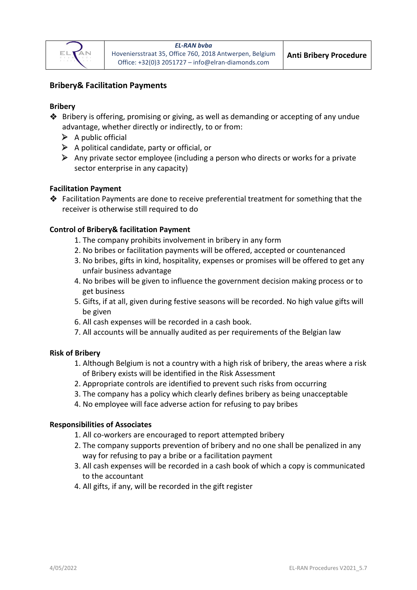

# **Bribery& Facilitation Payments**

## **Bribery**

- ❖ Bribery is offering, promising or giving, as well as demanding or accepting of any undue advantage, whether directly or indirectly, to or from:
	- $\triangleright$  A public official
	- $\triangleright$  A political candidate, party or official, or
	- $\triangleright$  Any private sector employee (including a person who directs or works for a private sector enterprise in any capacity)

## **Facilitation Payment**

❖ Facilitation Payments are done to receive preferential treatment for something that the receiver is otherwise still required to do

## **Control of Bribery& facilitation Payment**

- 1. The company prohibits involvement in bribery in any form
- 2. No bribes or facilitation payments will be offered, accepted or countenanced
- 3. No bribes, gifts in kind, hospitality, expenses or promises will be offered to get any unfair business advantage
- 4. No bribes will be given to influence the government decision making process or to get business
- 5. Gifts, if at all, given during festive seasons will be recorded. No high value gifts will be given
- 6. All cash expenses will be recorded in a cash book.
- 7. All accounts will be annually audited as per requirements of the Belgian law

## **Risk of Bribery**

- 1. Although Belgium is not a country with a high risk of bribery, the areas where a risk of Bribery exists will be identified in the Risk Assessment
- 2. Appropriate controls are identified to prevent such risks from occurring
- 3. The company has a policy which clearly defines bribery as being unacceptable
- 4. No employee will face adverse action for refusing to pay bribes

## **Responsibilities of Associates**

- 1. All co-workers are encouraged to report attempted bribery
- 2. The company supports prevention of bribery and no one shall be penalized in any way for refusing to pay a bribe or a facilitation payment
- 3. All cash expenses will be recorded in a cash book of which a copy is communicated to the accountant
- 4. All gifts, if any, will be recorded in the gift register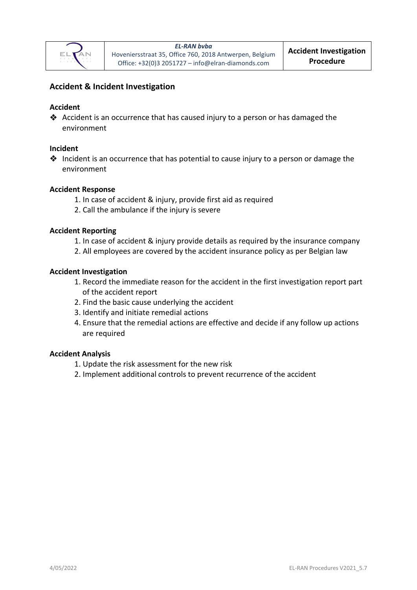

# **Accident & Incident Investigation**

# **Accident**

❖ Accident is an occurrence that has caused injury to a person or has damaged the environment

## **Incident**

❖ Incident is an occurrence that has potential to cause injury to a person or damage the environment

#### **Accident Response**

- 1. In case of accident & injury, provide first aid as required
- 2. Call the ambulance if the injury is severe

#### **Accident Reporting**

- 1. In case of accident & injury provide details as required by the insurance company
- 2. All employees are covered by the accident insurance policy as per Belgian law

#### **Accident Investigation**

- 1. Record the immediate reason for the accident in the first investigation report part of the accident report
- 2. Find the basic cause underlying the accident
- 3. Identify and initiate remedial actions
- 4. Ensure that the remedial actions are effective and decide if any follow up actions are required

## **Accident Analysis**

- 1. Update the risk assessment for the new risk
- 2. Implement additional controls to prevent recurrence of the accident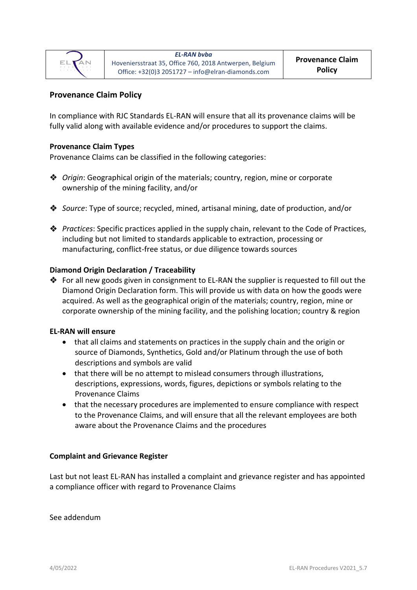

# **Provenance Claim Policy**

In compliance with RJC Standards EL-RAN will ensure that all its provenance claims will be fully valid along with available evidence and/or procedures to support the claims.

## **Provenance Claim Types**

Provenance Claims can be classified in the following categories:

- ❖ *Origin*: Geographical origin of the materials; country, region, mine or corporate ownership of the mining facility, and/or
- ❖ *Source*: Type of source; recycled, mined, artisanal mining, date of production, and/or
- ❖ *Practices*: Specific practices applied in the supply chain, relevant to the Code of Practices, including but not limited to standards applicable to extraction, processing or manufacturing, conflict-free status, or due diligence towards sources

## **Diamond Origin Declaration / Traceability**

 $\clubsuit$  For all new goods given in consignment to EL-RAN the supplier is requested to fill out the Diamond Origin Declaration form. This will provide us with data on how the goods were acquired. As well as the geographical origin of the materials; country, region, mine or corporate ownership of the mining facility, and the polishing location; country & region

## **EL-RAN will ensure**

- that all claims and statements on practices in the supply chain and the origin or source of Diamonds, Synthetics, Gold and/or Platinum through the use of both descriptions and symbols are valid
- that there will be no attempt to mislead consumers through illustrations, descriptions, expressions, words, figures, depictions or symbols relating to the Provenance Claims
- that the necessary procedures are implemented to ensure compliance with respect to the Provenance Claims, and will ensure that all the relevant employees are both aware about the Provenance Claims and the procedures

## **Complaint and Grievance Register**

Last but not least EL-RAN has installed a complaint and grievance register and has appointed a compliance officer with regard to Provenance Claims

See addendum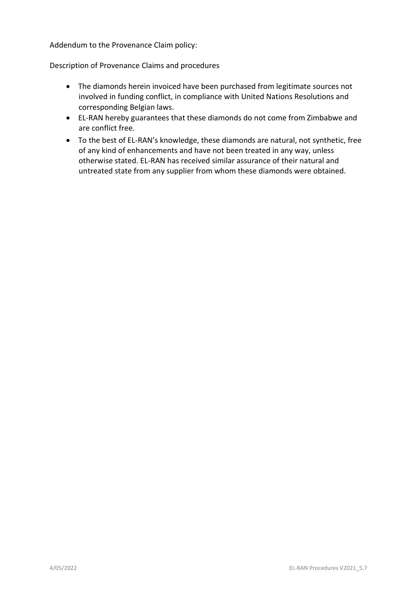Addendum to the Provenance Claim policy:

Description of Provenance Claims and procedures

- The diamonds herein invoiced have been purchased from legitimate sources not involved in funding conflict, in compliance with United Nations Resolutions and corresponding Belgian laws.
- EL-RAN hereby guarantees that these diamonds do not come from Zimbabwe and are conflict free.
- To the best of EL-RAN's knowledge, these diamonds are natural, not synthetic, free of any kind of enhancements and have not been treated in any way, unless otherwise stated. EL-RAN has received similar assurance of their natural and untreated state from any supplier from whom these diamonds were obtained.